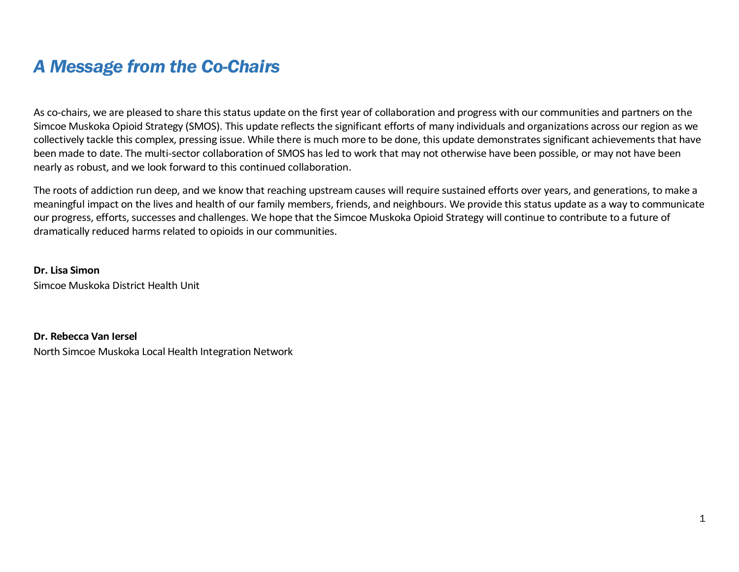#### *A Message from the Co-Chairs*

As co-chairs, we are pleased to share this status update on the first year of collaboration and progress with our communities and partners on the Simcoe Muskoka Opioid Strategy (SMOS). This update reflects the significant efforts of many individuals and organizations across our region as we collectively tackle this complex, pressing issue. While there is much more to be done, this update demonstrates significant achievements that have been made to date. The multi-sector collaboration of SMOS has led to work that may not otherwise have been possible, or may not have been nearly as robust, and we look forward to this continued collaboration.

The roots of addiction run deep, and we know that reaching upstream causes will require sustained efforts over years, and generations, to make a meaningful impact on the lives and health of our family members, friends, and neighbours. We provide this status update as a way to communicate our progress, efforts, successes and challenges. We hope that the Simcoe Muskoka Opioid Strategy will continue to contribute to a future of dramatically reduced harms related to opioids in our communities.

**Dr. Lisa Simon** Simcoe Muskoka District Health Unit

#### **Dr. Rebecca Van Iersel**

North Simcoe Muskoka Local Health Integration Network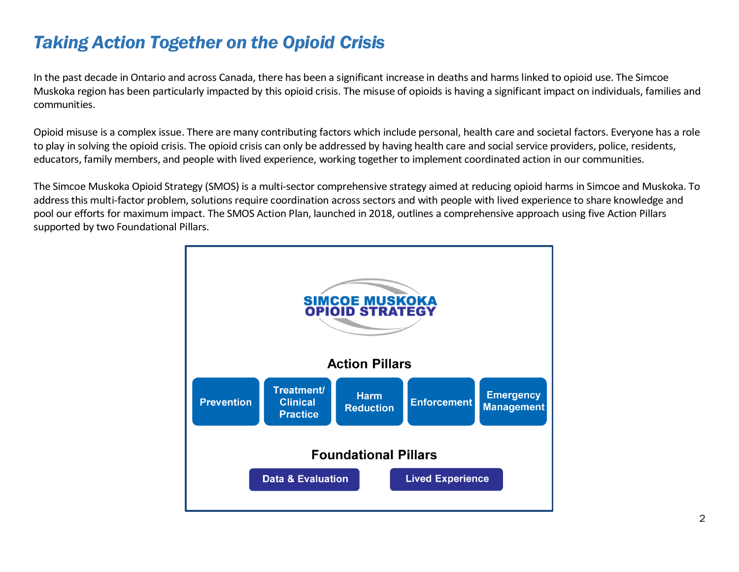## *Taking Action Together on the Opioid Crisis*

In the past decade in Ontario and across Canada, there has been a significant increase in deaths and harms linked to opioid use. The Simcoe Muskoka region has been particularly impacted by this opioid crisis. The misuse of opioids is having a significant impact on individuals, families and communities.

Opioid misuse is a complex issue. There are many contributing factors which include personal, health care and societal factors. Everyone has a role to play in solving the opioid crisis. The opioid crisis can only be addressed by having health care and social service providers, police, residents, educators, family members, and people with lived experience, working together to implement coordinated action in our communities.

The Simcoe Muskoka Opioid Strategy (SMOS) is a multi-sector comprehensive strategy aimed at reducing opioid harms in Simcoe and Muskoka. To address this multi-factor problem, solutions require coordination across sectors and with people with lived experience to share knowledge and pool our efforts for maximum impact. The SMOS Action Plan, launched in 2018, outlines a comprehensive approach using five Action Pillars supported by two Foundational Pillars.

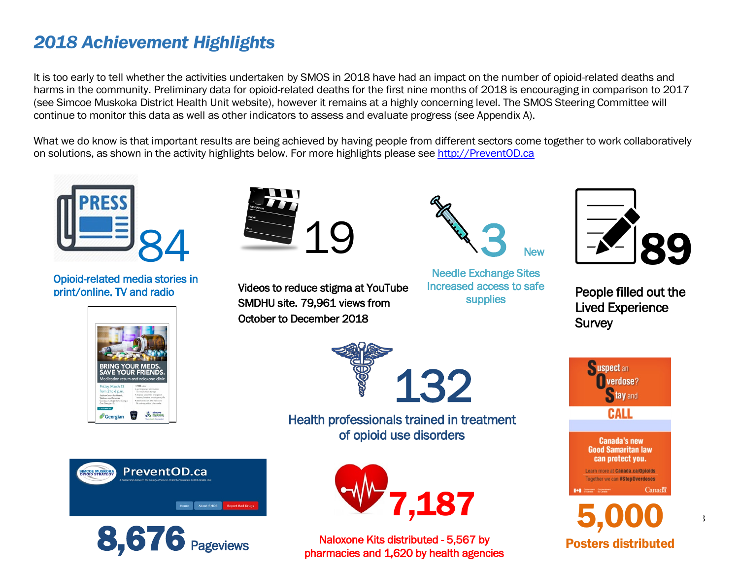## *2018 Achievement Highlights*

It is too early to tell whether the activities undertaken by SMOS in 2018 have had an impact on the number of opioid-related deaths and harms in the community. Preliminary data for opioid-related deaths for the first nine months of 2018 is encouraging in comparison to 2017 (see Simcoe Muskoka District Health Unit website), however it remains at a highly concerning level. The SMOS Steering Committee will continue to monitor this data as well as other indicators to assess and evaluate progress (see Appendix A).

What we do know is that important results are being achieved by having people from different sectors come together to work collaboratively on solutions, as shown in the activity highlights below. For more highlights please see [http://PreventOD.ca](http://preventod.ca/)



Opioid-related media stories in print/online, TV and radio



Videos to reduce stigma at YouTube SMDHU site. 79,961 views from October to December 2018



Needle Exchange Sites Increased access to safe supplies



People filled out the Lived Experience **Survey** 





Health professionals trained in treatment of opioid use disorders







Naloxone Kits distributed - 5,567 by pharmacies and 1,620 by health agencies



Posters distributed

3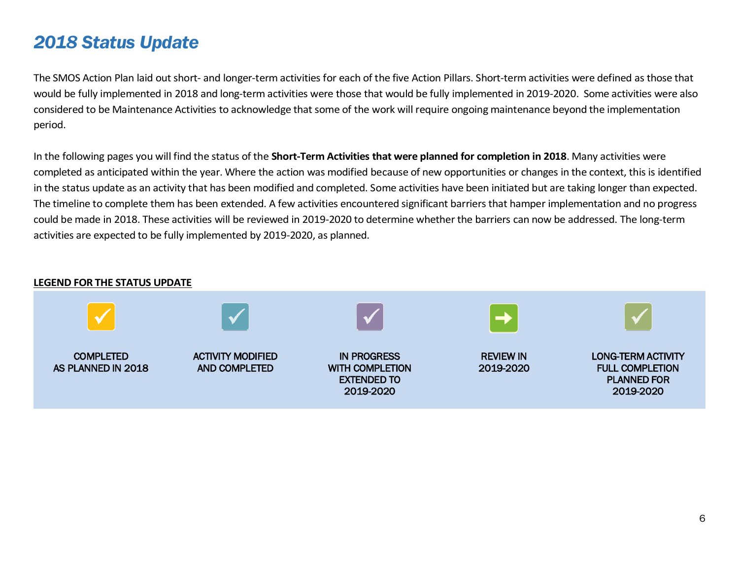#### *2018 Status Update*

The SMOS Action Plan laid out short- and longer-term activities for each of the five Action Pillars. Short-term activities were defined as those that would be fully implemented in 2018 and long-term activities were those that would be fully implemented in 2019-2020. Some activities were also considered to be Maintenance Activities to acknowledge that some of the work will require ongoing maintenance beyond the implementation period.

In the following pages you will find the status of the **Short-Term Activities that were planned for completion in 2018**. Many activities were completed as anticipated within the year. Where the action was modified because of new opportunities or changes in the context, this is identified in the status update as an activity that has been modified and completed. Some activities have been initiated but are taking longer than expected. The timeline to complete them has been extended. A few activities encountered significant barriers that hamper implementation and no progress could be made in 2018. These activities will be reviewed in 2019-2020 to determine whether the barriers can now be addressed. The long-term activities are expected to be fully implemented by 2019-2020, as planned.

#### **LEGEND FOR THE STATUS UPDATE**

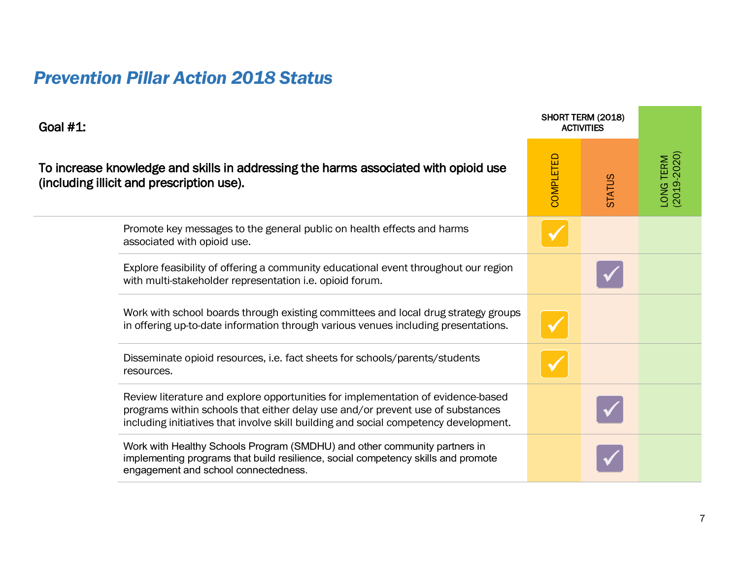## *Prevention Pillar Action 2018 Status*

| Goal #1:<br>To increase knowledge and skills in addressing the harms associated with opioid use<br>(including illicit and prescription use). |                                                                                                                                                                                                                                                            |           | SHORT TERM (2018)<br><b>ACTIVITIES</b> |                          |
|----------------------------------------------------------------------------------------------------------------------------------------------|------------------------------------------------------------------------------------------------------------------------------------------------------------------------------------------------------------------------------------------------------------|-----------|----------------------------------------|--------------------------|
|                                                                                                                                              |                                                                                                                                                                                                                                                            | COMPLETED | <b>STATUS</b>                          | LONG TERM<br>(2019-2020) |
|                                                                                                                                              | Promote key messages to the general public on health effects and harms<br>associated with opioid use.                                                                                                                                                      |           |                                        |                          |
|                                                                                                                                              | Explore feasibility of offering a community educational event throughout our region<br>with multi-stakeholder representation <i>i.e.</i> opioid forum.                                                                                                     |           |                                        |                          |
|                                                                                                                                              | Work with school boards through existing committees and local drug strategy groups<br>in offering up-to-date information through various venues including presentations.                                                                                   |           |                                        |                          |
|                                                                                                                                              | Disseminate opioid resources, i.e. fact sheets for schools/parents/students<br>resources.                                                                                                                                                                  |           |                                        |                          |
|                                                                                                                                              | Review literature and explore opportunities for implementation of evidence-based<br>programs within schools that either delay use and/or prevent use of substances<br>including initiatives that involve skill building and social competency development. |           |                                        |                          |
|                                                                                                                                              | Work with Healthy Schools Program (SMDHU) and other community partners in<br>implementing programs that build resilience, social competency skills and promote<br>engagement and school connectedness.                                                     |           |                                        |                          |
|                                                                                                                                              |                                                                                                                                                                                                                                                            |           |                                        |                          |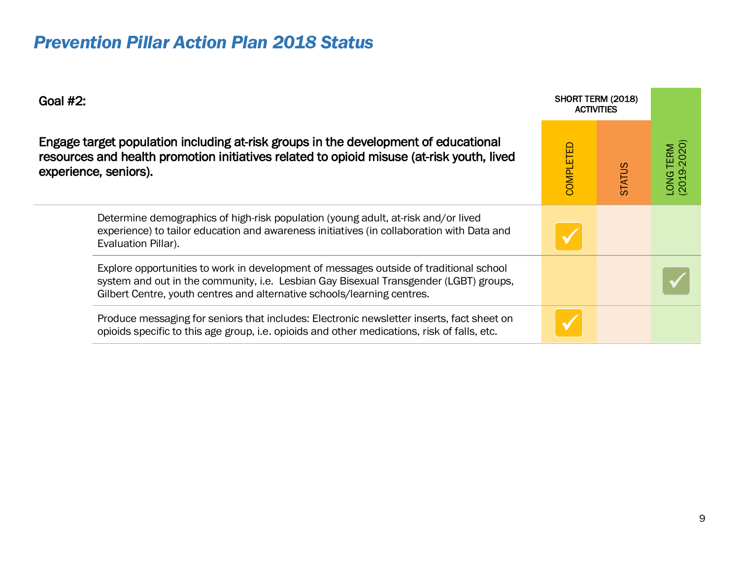## *Prevention Pillar Action Plan 2018 Status*

| Goal $#2$ :                                                                                                                                                                                                                                                |  | SHORT TERM (2018)<br><b>ACTIVITIES</b> |                          |
|------------------------------------------------------------------------------------------------------------------------------------------------------------------------------------------------------------------------------------------------------------|--|----------------------------------------|--------------------------|
| Engage target population including at-risk groups in the development of educational<br>resources and health promotion initiatives related to opioid misuse (at-risk youth, lived<br>experience, seniors).                                                  |  | <b>STATUS</b>                          | LONG TERM<br>(2019-2020) |
| Determine demographics of high-risk population (young adult, at-risk and/or lived<br>experience) to tailor education and awareness initiatives (in collaboration with Data and<br>Evaluation Pillar).                                                      |  |                                        |                          |
| Explore opportunities to work in development of messages outside of traditional school<br>system and out in the community, i.e. Lesbian Gay Bisexual Transgender (LGBT) groups,<br>Gilbert Centre, youth centres and alternative schools/learning centres. |  |                                        |                          |
| Produce messaging for seniors that includes: Electronic newsletter inserts, fact sheet on<br>opioids specific to this age group, i.e. opioids and other medications, risk of falls, etc.                                                                   |  |                                        |                          |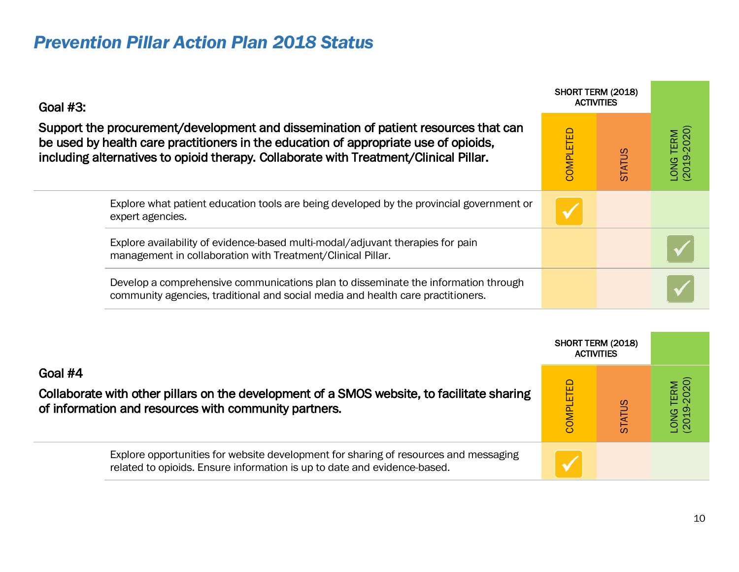## *Prevention Pillar Action Plan 2018 Status*

| Goal $#3$ :                                                                                                                                                                                                                                                          |           | SHORT TERM (2018)<br><b>ACTIVITIES</b> |                          |
|----------------------------------------------------------------------------------------------------------------------------------------------------------------------------------------------------------------------------------------------------------------------|-----------|----------------------------------------|--------------------------|
| Support the procurement/development and dissemination of patient resources that can<br>be used by health care practitioners in the education of appropriate use of opioids,<br>including alternatives to opioid therapy. Collaborate with Treatment/Clinical Pillar. | COMPLETED | <b>STATUS</b>                          | LONG TERM<br>(2019-2020) |
| Explore what patient education tools are being developed by the provincial government or<br>expert agencies.                                                                                                                                                         |           |                                        |                          |
| Explore availability of evidence-based multi-modal/adjuvant therapies for pain<br>management in collaboration with Treatment/Clinical Pillar.                                                                                                                        |           |                                        |                          |
| Develop a comprehensive communications plan to disseminate the information through<br>community agencies, traditional and social media and health care practitioners.                                                                                                |           |                                        |                          |

|                                                                                                                                                                  |           | SHORT TERM (2018)<br><b>ACTIVITIES</b> |                                     |
|------------------------------------------------------------------------------------------------------------------------------------------------------------------|-----------|----------------------------------------|-------------------------------------|
| Goal #4<br>Collaborate with other pillars on the development of a SMOS website, to facilitate sharing<br>of information and resources with community partners.   | COMPLETED | <b>STATUS</b>                          | TERM<br>-2020)<br>2019-2<br> 2019-2 |
| Explore opportunities for website development for sharing of resources and messaging<br>related to opioids. Ensure information is up to date and evidence-based. |           |                                        |                                     |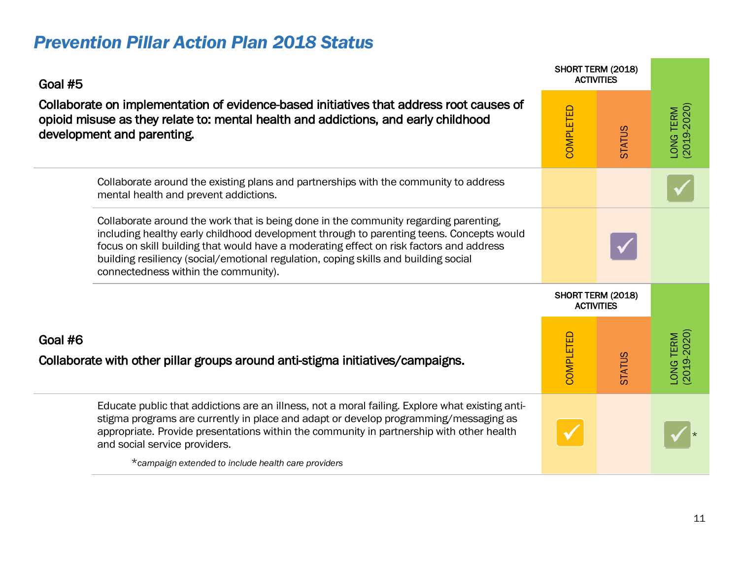#### *Prevention Pillar Action Plan 2018 Status*

| Goal #5<br>Collaborate on implementation of evidence-based initiatives that address root causes of<br>opioid misuse as they relate to: mental health and addictions, and early childhood<br>development and parenting. |                                                                                                                                                                                                                                                                                                                                                                                                            | <b>ACTIVITIES</b> | SHORT TERM (2018) |                          |
|------------------------------------------------------------------------------------------------------------------------------------------------------------------------------------------------------------------------|------------------------------------------------------------------------------------------------------------------------------------------------------------------------------------------------------------------------------------------------------------------------------------------------------------------------------------------------------------------------------------------------------------|-------------------|-------------------|--------------------------|
|                                                                                                                                                                                                                        |                                                                                                                                                                                                                                                                                                                                                                                                            | COMPLETED         | <b>STATUS</b>     | LONG TERM<br>(2019-2020) |
|                                                                                                                                                                                                                        | Collaborate around the existing plans and partnerships with the community to address<br>mental health and prevent addictions.                                                                                                                                                                                                                                                                              |                   |                   |                          |
|                                                                                                                                                                                                                        | Collaborate around the work that is being done in the community regarding parenting,<br>including healthy early childhood development through to parenting teens. Concepts would<br>focus on skill building that would have a moderating effect on risk factors and address<br>building resiliency (social/emotional regulation, coping skills and building social<br>connectedness within the community). |                   |                   |                          |
|                                                                                                                                                                                                                        |                                                                                                                                                                                                                                                                                                                                                                                                            | <b>ACTIVITIES</b> | SHORT TERM (2018) |                          |
| Goal #6<br>Collaborate with other pillar groups around anti-stigma initiatives/campaigns.                                                                                                                              |                                                                                                                                                                                                                                                                                                                                                                                                            | COMPLETED         | <b>STATUS</b>     | LONG TERM<br>(2019-2020) |
|                                                                                                                                                                                                                        | Educate public that addictions are an illness, not a moral failing. Explore what existing anti-<br>stigma programs are currently in place and adapt or develop programming/messaging as<br>appropriate. Provide presentations within the community in partnership with other health<br>and social service providers.                                                                                       |                   |                   |                          |
|                                                                                                                                                                                                                        | *campaign extended to include health care providers                                                                                                                                                                                                                                                                                                                                                        |                   |                   |                          |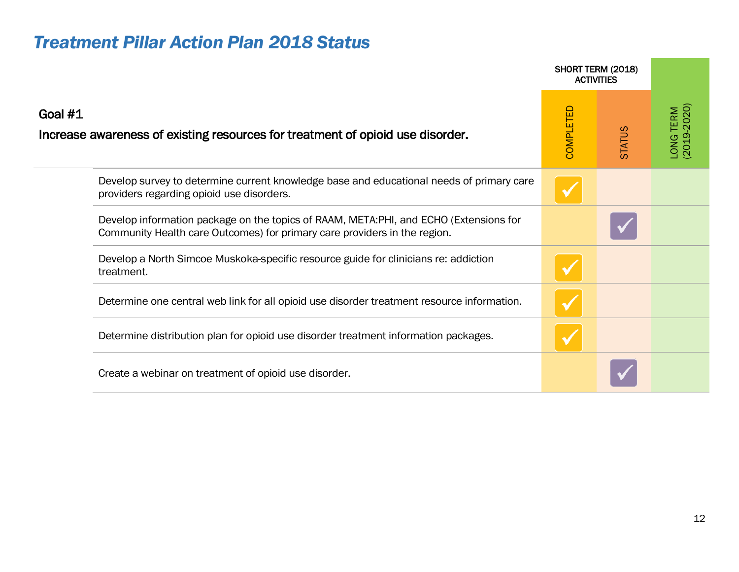### *Treatment Pillar Action Plan 2018 Status*

|                                                                                             | SHORT TERM (2018)<br><b>ACTIVITIES</b>                                                                                                                             |           |               |                          |
|---------------------------------------------------------------------------------------------|--------------------------------------------------------------------------------------------------------------------------------------------------------------------|-----------|---------------|--------------------------|
| Goal $#1$<br>Increase awareness of existing resources for treatment of opioid use disorder. |                                                                                                                                                                    | COMPLETED | <b>STATUS</b> | LONG TERM<br>(2019-2020) |
|                                                                                             | Develop survey to determine current knowledge base and educational needs of primary care<br>providers regarding opioid use disorders.                              |           |               |                          |
|                                                                                             | Develop information package on the topics of RAAM, META:PHI, and ECHO (Extensions for<br>Community Health care Outcomes) for primary care providers in the region. |           |               |                          |
| treatment.                                                                                  | Develop a North Simcoe Muskoka-specific resource guide for clinicians re: addiction                                                                                |           |               |                          |
|                                                                                             | Determine one central web link for all opioid use disorder treatment resource information.                                                                         |           |               |                          |
|                                                                                             | Determine distribution plan for opioid use disorder treatment information packages.                                                                                |           |               |                          |
|                                                                                             | Create a webinar on treatment of opioid use disorder.                                                                                                              |           |               |                          |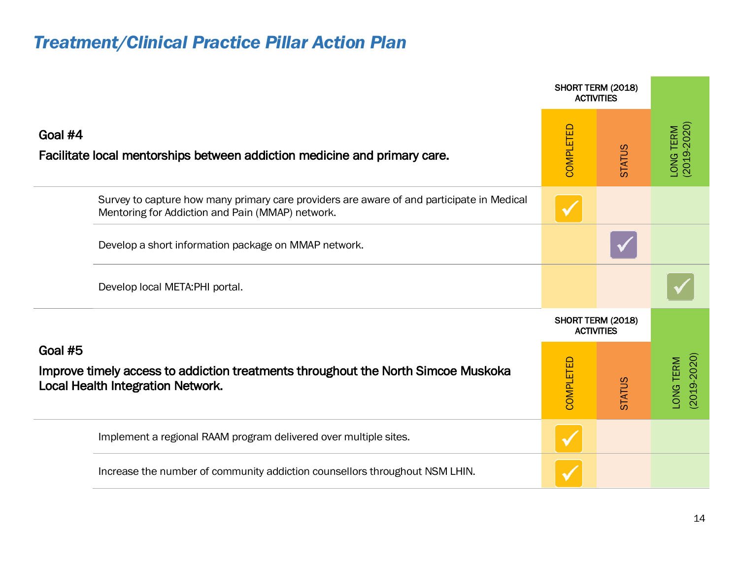## *Treatment/Clinical Practice Pillar Action Plan*

|                                                                                      |                                                                                                                                               | <b>ACTIVITIES</b> | SHORT TERM (2018) |                          |
|--------------------------------------------------------------------------------------|-----------------------------------------------------------------------------------------------------------------------------------------------|-------------------|-------------------|--------------------------|
| Goal #4<br>Facilitate local mentorships between addiction medicine and primary care. |                                                                                                                                               | COMPLETED         | <b>STATUS</b>     | LONG TERM<br>(2019-2020) |
|                                                                                      | Survey to capture how many primary care providers are aware of and participate in Medical<br>Mentoring for Addiction and Pain (MMAP) network. |                   |                   |                          |
|                                                                                      | Develop a short information package on MMAP network.                                                                                          |                   |                   |                          |
|                                                                                      | Develop local META:PHI portal.                                                                                                                |                   |                   |                          |
|                                                                                      |                                                                                                                                               | <b>ACTIVITIES</b> | SHORT TERM (2018) |                          |
| Goal #5                                                                              | Improve timely access to addiction treatments throughout the North Simcoe Muskoka<br><b>Local Health Integration Network.</b>                 | COMPLETED         | <b>STATUS</b>     | 2019-2020<br>ONG TERM    |
|                                                                                      | Implement a regional RAAM program delivered over multiple sites.                                                                              |                   |                   |                          |
|                                                                                      | Increase the number of community addiction counsellors throughout NSM LHIN.                                                                   |                   |                   |                          |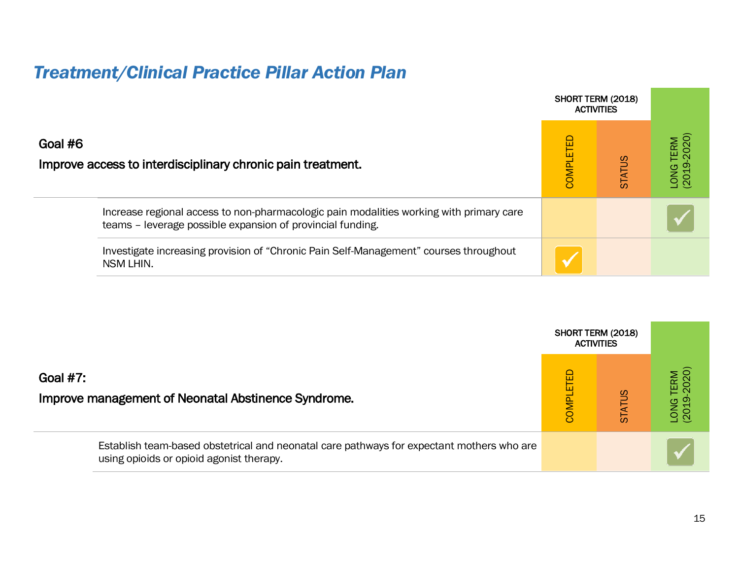## *Treatment/Clinical Practice Pillar Action Plan*

|                                                                                                                                                       |                  | SHORT TERM (2018)<br><b>ACTIVITIES</b> |                          |
|-------------------------------------------------------------------------------------------------------------------------------------------------------|------------------|----------------------------------------|--------------------------|
| Goal #6<br>Improve access to interdisciplinary chronic pain treatment.                                                                                | <b>COMPLETED</b> | <b>STATUS</b>                          | LONG TERM<br>(2019-2020) |
| Increase regional access to non-pharmacologic pain modalities working with primary care<br>teams - leverage possible expansion of provincial funding. |                  |                                        |                          |
| Investigate increasing provision of "Chronic Pain Self-Management" courses throughout<br>NSM LHIN.                                                    |                  |                                        |                          |

|                                                                                                                                       |                        | SHORT TERM (2018)<br><b>ACTIVITIES</b> |                                        |
|---------------------------------------------------------------------------------------------------------------------------------------|------------------------|----------------------------------------|----------------------------------------|
| Goal $#7$ :<br>Improve management of Neonatal Abstinence Syndrome.                                                                    | 믑<br>冚<br><b>COMPL</b> | <b>ATUS</b><br>ದ                       | <b>TERM</b><br>-2020)<br>LONG<br>(2019 |
| Establish team-based obstetrical and neonatal care pathways for expectant mothers who are<br>using opioids or opioid agonist therapy. |                        |                                        |                                        |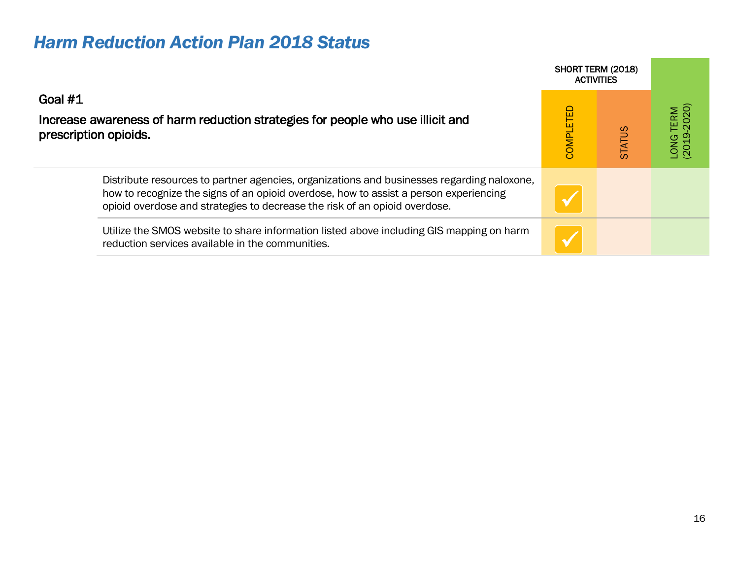#### *Harm Reduction Action Plan 2018 Status*

|                                                                                                                                                                                                                                                                   | SHORT TERM (2018)<br><b>ACTIVITIES</b> |               |                          |
|-------------------------------------------------------------------------------------------------------------------------------------------------------------------------------------------------------------------------------------------------------------------|----------------------------------------|---------------|--------------------------|
| Goal $#1$<br>Increase awareness of harm reduction strategies for people who use illicit and<br>prescription opioids.                                                                                                                                              | <b>COMPLETED</b>                       | <b>STATUS</b> | LONG TERM<br>(2019-2020) |
| Distribute resources to partner agencies, organizations and businesses regarding naloxone,<br>how to recognize the signs of an opioid overdose, how to assist a person experiencing<br>opioid overdose and strategies to decrease the risk of an opioid overdose. |                                        |               |                          |
| Utilize the SMOS website to share information listed above including GIS mapping on harm<br>reduction services available in the communities.                                                                                                                      |                                        |               |                          |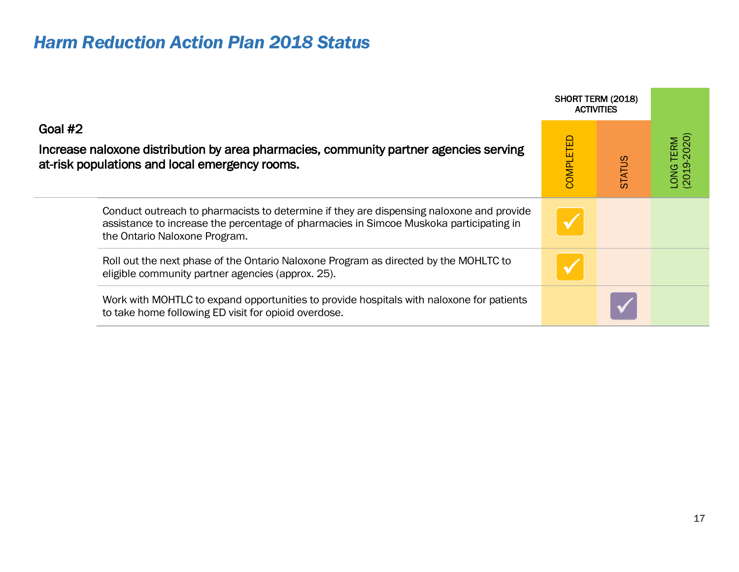## *Harm Reduction Action Plan 2018 Status*

|                                                                                                                                                                                                                     | SHORT TERM (2018)<br><b>ACTIVITIES</b> |               |                          |
|---------------------------------------------------------------------------------------------------------------------------------------------------------------------------------------------------------------------|----------------------------------------|---------------|--------------------------|
| Goal $#2$<br>Increase naloxone distribution by area pharmacies, community partner agencies serving<br>at-risk populations and local emergency rooms.                                                                | <b>COMPLETED</b>                       | <b>STATUS</b> | LONG TERM<br>(2019-2020) |
| Conduct outreach to pharmacists to determine if they are dispensing naloxone and provide<br>assistance to increase the percentage of pharmacies in Simcoe Muskoka participating in<br>the Ontario Naloxone Program. |                                        |               |                          |
| Roll out the next phase of the Ontario Naloxone Program as directed by the MOHLTC to<br>eligible community partner agencies (approx. 25).                                                                           |                                        |               |                          |
| Work with MOHTLC to expand opportunities to provide hospitals with naloxone for patients<br>to take home following ED visit for opioid overdose.                                                                    |                                        |               |                          |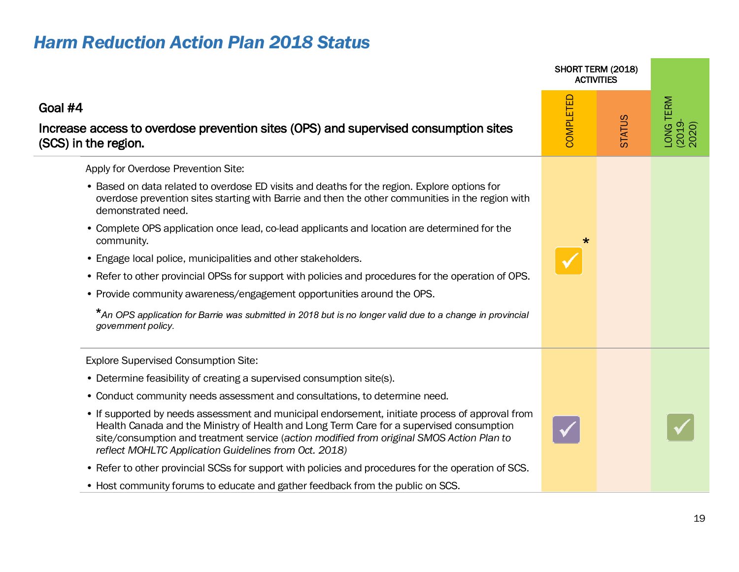### *Harm Reduction Action Plan 2018 Status*

|                                                                                                                                                                                                                                                                                                                                                                                                                                                                                                                                                                                                                                                                                                                                                                                                                                                                                     | <b>ACTIVITIES</b> | SHORT TERM (2018) |                              |
|-------------------------------------------------------------------------------------------------------------------------------------------------------------------------------------------------------------------------------------------------------------------------------------------------------------------------------------------------------------------------------------------------------------------------------------------------------------------------------------------------------------------------------------------------------------------------------------------------------------------------------------------------------------------------------------------------------------------------------------------------------------------------------------------------------------------------------------------------------------------------------------|-------------------|-------------------|------------------------------|
| Goal #4<br>Increase access to overdose prevention sites (OPS) and supervised consumption sites<br>(SCS) in the region.                                                                                                                                                                                                                                                                                                                                                                                                                                                                                                                                                                                                                                                                                                                                                              | COMPLETED         | <b>STATUS</b>     | LONG TERM<br>(2019-<br>2020) |
| Apply for Overdose Prevention Site:<br>• Based on data related to overdose ED visits and deaths for the region. Explore options for<br>overdose prevention sites starting with Barrie and then the other communities in the region with<br>demonstrated need.<br>• Complete OPS application once lead, co-lead applicants and location are determined for the<br>community.<br>• Engage local police, municipalities and other stakeholders.<br>• Refer to other provincial OPSs for support with policies and procedures for the operation of OPS.<br>• Provide community awareness/engagement opportunities around the OPS.                                                                                                                                                                                                                                                       | $\star$           |                   |                              |
| *An OPS application for Barrie was submitted in 2018 but is no longer valid due to a change in provincial<br>government policy.<br><b>Explore Supervised Consumption Site:</b><br>• Determine feasibility of creating a supervised consumption site(s).<br>• Conduct community needs assessment and consultations, to determine need.<br>• If supported by needs assessment and municipal endorsement, initiate process of approval from<br>Health Canada and the Ministry of Health and Long Term Care for a supervised consumption<br>site/consumption and treatment service (action modified from original SMOS Action Plan to<br>reflect MOHLTC Application Guidelines from Oct. 2018)<br>• Refer to other provincial SCSs for support with policies and procedures for the operation of SCS.<br>• Host community forums to educate and gather feedback from the public on SCS. |                   |                   |                              |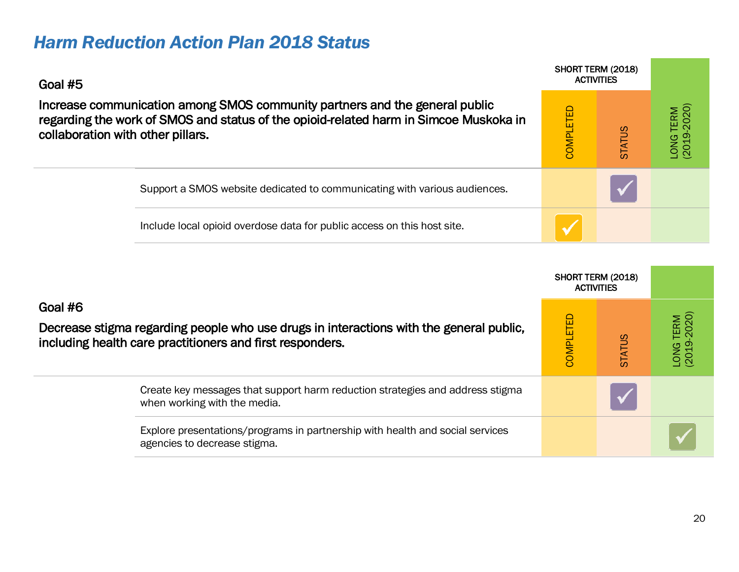#### **2018 Achievement Highlights**

It is too early to tell whether the activities undertaken by SMOS in 2018 have had an impact on the number of opioid-related deaths and harms in the community. Preliminary data for opioid-related deaths for the first nine months of 2018 is encouraging in comparison to 2017 (see Simcoe Muskoka District Health Unit website), however it remains at a highly concerning level. The SMOS Steering Committee will continue to monitor this data as well as other indicators to assess and evaluate progress (see Appendix A).

What we do know is that important results are being achieved by having people from different sectors come together to work collaboratively on solutions, as shown in the activity highlights below. For more highlights please see http://PreventOD.ca

Opioid-related media stories in print/online, TV and radio



19

Videos to reduce stigma at YouTube SMDHU site. 79,961 views from October to December 2018

**Needle Exchange Sites** Increased access to safe **supplies** 

People filled out the **Lived Experience** Survey





Naloxone Kits distributed - 5,567 by pharmacies and 1,620 by health agencies

7.187

**5.00 Posters distributed**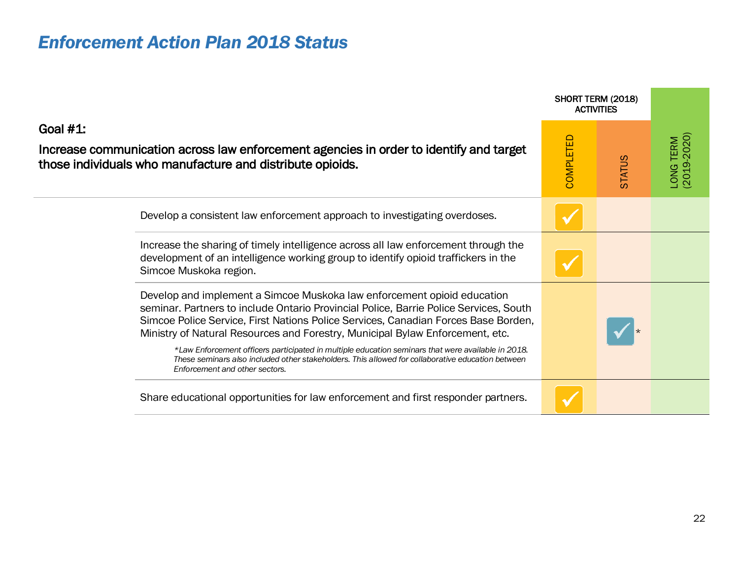## *Enforcement Action Plan 2018 Status*

|                                                                                                                                                                                                                                                                                                                                         |           | SHORT TERM (2018)<br><b>ACTIVITIES</b> |                          |
|-----------------------------------------------------------------------------------------------------------------------------------------------------------------------------------------------------------------------------------------------------------------------------------------------------------------------------------------|-----------|----------------------------------------|--------------------------|
| Goal $#1$ :<br>Increase communication across law enforcement agencies in order to identify and target<br>those individuals who manufacture and distribute opioids.                                                                                                                                                                      | COMPLETED | <b>STATUS</b>                          | LONG TERM<br>(2019-2020) |
| Develop a consistent law enforcement approach to investigating overdoses.                                                                                                                                                                                                                                                               |           |                                        |                          |
| Increase the sharing of timely intelligence across all law enforcement through the<br>development of an intelligence working group to identify opioid traffickers in the<br>Simcoe Muskoka region.                                                                                                                                      |           |                                        |                          |
| Develop and implement a Simcoe Muskoka law enforcement opioid education<br>seminar. Partners to include Ontario Provincial Police, Barrie Police Services, South<br>Simcoe Police Service, First Nations Police Services, Canadian Forces Base Borden,<br>Ministry of Natural Resources and Forestry, Municipal Bylaw Enforcement, etc. |           |                                        |                          |
| *Law Enforcement officers participated in multiple education seminars that were available in 2018.<br>These seminars also included other stakeholders. This allowed for collaborative education between<br>Enforcement and other sectors.                                                                                               |           |                                        |                          |
| Share educational opportunities for law enforcement and first responder partners.                                                                                                                                                                                                                                                       |           |                                        |                          |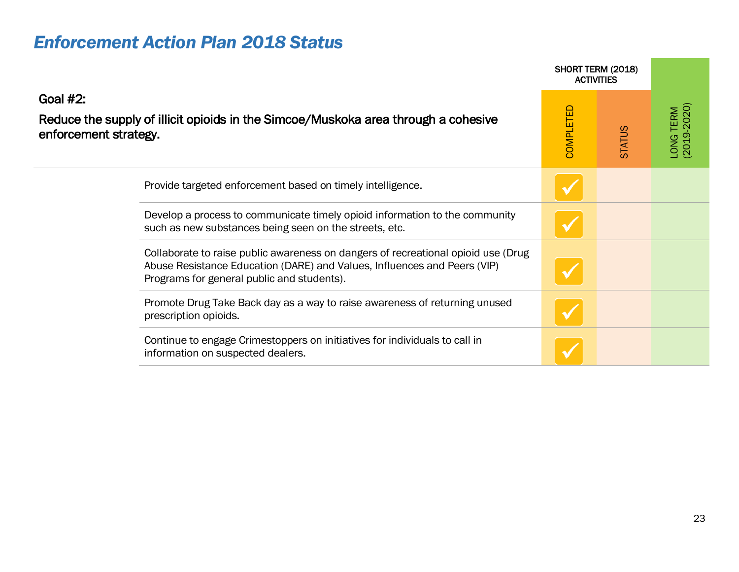## *Enforcement Action Plan 2018 Status*

|                                                                                                                                                                                                             | SHORT TERM (2018)<br><b>ACTIVITIES</b> |               |                          |
|-------------------------------------------------------------------------------------------------------------------------------------------------------------------------------------------------------------|----------------------------------------|---------------|--------------------------|
| Goal #2:<br>Reduce the supply of illicit opioids in the Simcoe/Muskoka area through a cohesive<br>enforcement strategy.                                                                                     | COMPLETED                              | <b>STATUS</b> | LONG TERM<br>(2019-2020) |
| Provide targeted enforcement based on timely intelligence.                                                                                                                                                  |                                        |               |                          |
| Develop a process to communicate timely opioid information to the community<br>such as new substances being seen on the streets, etc.                                                                       |                                        |               |                          |
| Collaborate to raise public awareness on dangers of recreational opioid use (Drug<br>Abuse Resistance Education (DARE) and Values, Influences and Peers (VIP)<br>Programs for general public and students). |                                        |               |                          |
| Promote Drug Take Back day as a way to raise awareness of returning unused<br>prescription opioids.                                                                                                         |                                        |               |                          |
| Continue to engage Crimestoppers on initiatives for individuals to call in<br>information on suspected dealers.                                                                                             |                                        |               |                          |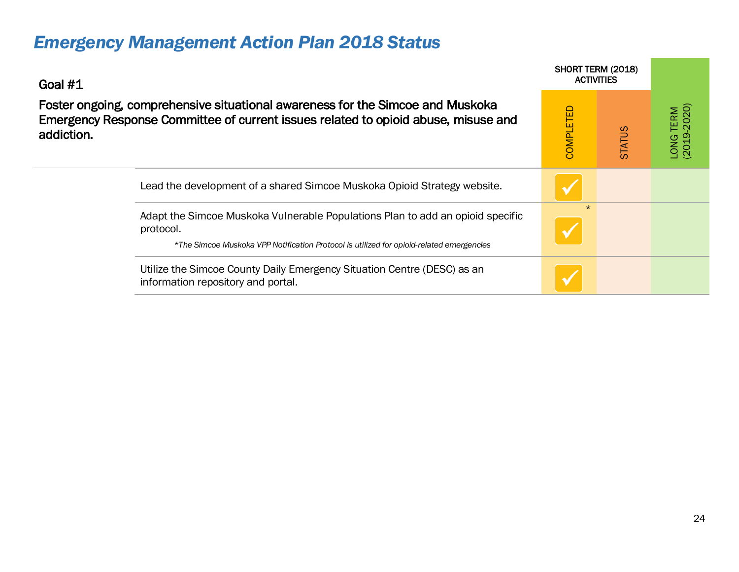| Goal #1                                                                                                                                                                                 |           | SHORT TERM (2018)<br><b>ACTIVITIES</b> |                          |
|-----------------------------------------------------------------------------------------------------------------------------------------------------------------------------------------|-----------|----------------------------------------|--------------------------|
| Foster ongoing, comprehensive situational awareness for the Simcoe and Muskoka<br>Emergency Response Committee of current issues related to opioid abuse, misuse and<br>addiction.      | COMPLETED | <b>STATUS</b>                          | LONG TERM<br>(2019-2020) |
| Lead the development of a shared Simcoe Muskoka Opioid Strategy website.                                                                                                                |           |                                        |                          |
| Adapt the Simcoe Muskoka Vulnerable Populations Plan to add an opioid specific<br>protocol.<br>*The Simcoe Muskoka VPP Notification Protocol is utilized for opioid-related emergencies | $\star$   |                                        |                          |
| Utilize the Simcoe County Daily Emergency Situation Centre (DESC) as an<br>information repository and portal.                                                                           |           |                                        |                          |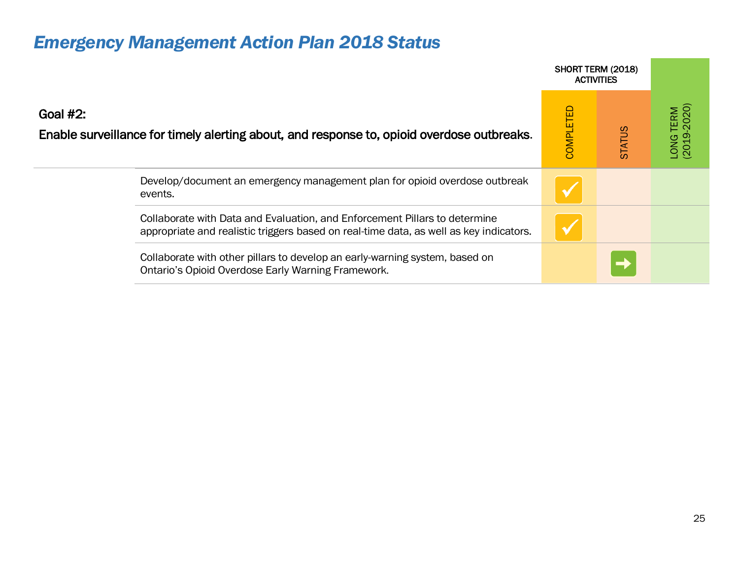#### Goal #2: Enable surveillance for timely alerting about, and response to, opioid overdose outbreaks. SHORT TERM (2018) **ACTIVITIES** COMPL ETED STATUS Develop/document an emergency management plan for opioid overdose outbreak events. Collaborate with Data and Evaluation, and Enforcement Pillars to determine appropriate and realistic triggers based on real-time data, as well as key indicators. Collaborate with other pillars to develop an early-warning system, based on Ontario's Opioid Overdose Early Warning Framework.

# *Emergency Management Action Plan 2018 Status*

LONG TERM (2019-2020)

LONG TERM<br>(2019-2020)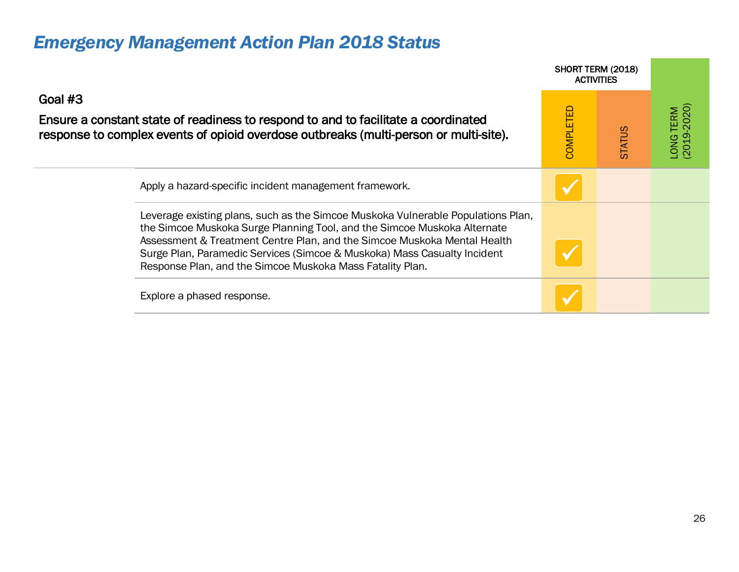|                                                                                                                                                                                                                                                                                                                                                                                   | SHORT TERM (2018)<br><b>ACTIVITIES</b> |               |                          |
|-----------------------------------------------------------------------------------------------------------------------------------------------------------------------------------------------------------------------------------------------------------------------------------------------------------------------------------------------------------------------------------|----------------------------------------|---------------|--------------------------|
| Goal #3                                                                                                                                                                                                                                                                                                                                                                           |                                        |               |                          |
| Ensure a constant state of readiness to respond to and to facilitate a coordinated<br>response to complex events of opioid overdose outbreaks (multi-person or multi-site).                                                                                                                                                                                                       | <b>COMPLETED</b>                       | <b>STATUS</b> | LONG TERM<br>(2019-2020) |
| Apply a hazard-specific incident management framework.                                                                                                                                                                                                                                                                                                                            |                                        |               |                          |
| Leverage existing plans, such as the Simcoe Muskoka Vulnerable Populations Plan,<br>the Simcoe Muskoka Surge Planning Tool, and the Simcoe Muskoka Alternate<br>Assessment & Treatment Centre Plan, and the Simcoe Muskoka Mental Health<br>Surge Plan, Paramedic Services (Simcoe & Muskoka) Mass Casualty Incident<br>Response Plan, and the Simcoe Muskoka Mass Fatality Plan. |                                        |               |                          |
| Explore a phased response.                                                                                                                                                                                                                                                                                                                                                        |                                        |               |                          |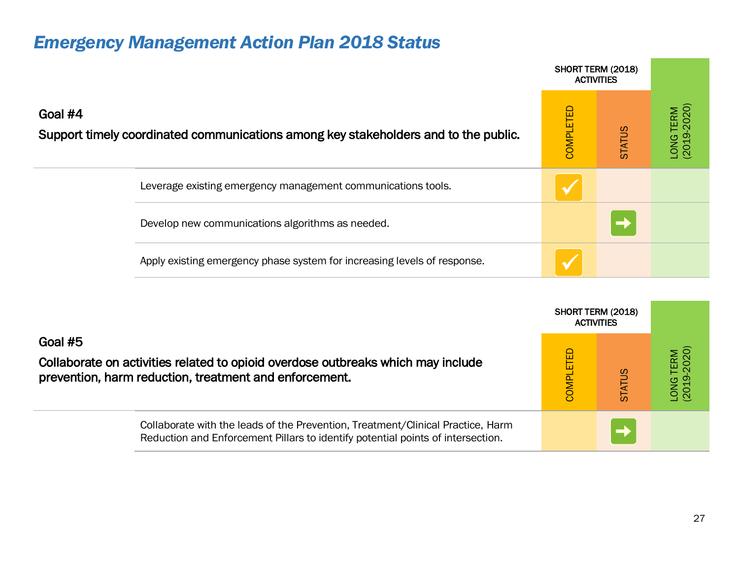|                                                                                                |           | SHORT TERM (2018)<br><b>ACTIVITIES</b> |                          |
|------------------------------------------------------------------------------------------------|-----------|----------------------------------------|--------------------------|
| Goal #4<br>Support timely coordinated communications among key stakeholders and to the public. | COMPLETED | <b>STATUS</b>                          | LONG TERM<br>(2019-2020) |
| Leverage existing emergency management communications tools.                                   |           |                                        |                          |
| Develop new communications algorithms as needed.                                               |           |                                        |                          |
| Apply existing emergency phase system for increasing levels of response.                       |           |                                        |                          |

|                                                                                                                                                                    |           | SHORT TERM (2018)<br><b>ACTIVITIES</b> |                                 |
|--------------------------------------------------------------------------------------------------------------------------------------------------------------------|-----------|----------------------------------------|---------------------------------|
| Goal #5<br>Collaborate on activities related to opioid overdose outbreaks which may include<br>prevention, harm reduction, treatment and enforcement.              | COMPLETED |                                        | TERM<br>-2020)<br>LONG<br>(2019 |
| Collaborate with the leads of the Prevention, Treatment/Clinical Practice, Harm<br>Reduction and Enforcement Pillars to identify potential points of intersection. |           |                                        |                                 |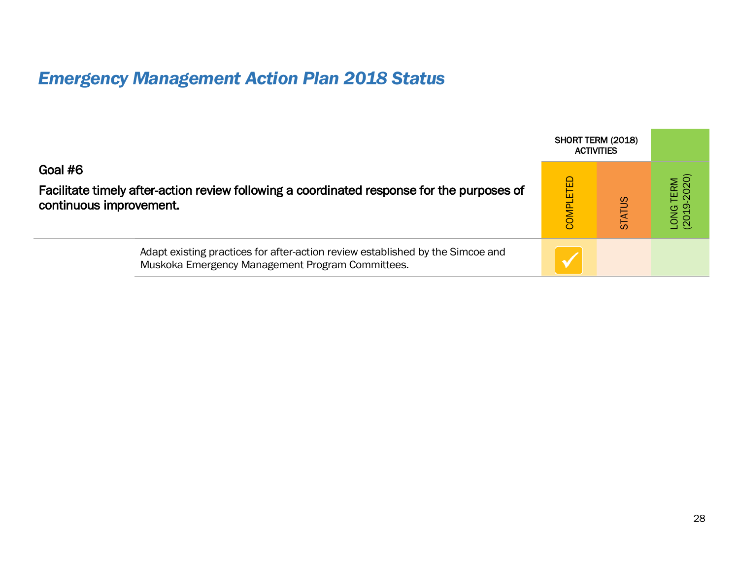|                                    |                                                                                                                                    |           | SHORT TERM (2018)<br><b>ACTIVITIES</b> |                          |
|------------------------------------|------------------------------------------------------------------------------------------------------------------------------------|-----------|----------------------------------------|--------------------------|
| Goal #6<br>continuous improvement. | Facilitate timely after-action review following a coordinated response for the purposes of                                         | COMPLETED | $^{20}$                                | LONG TERM<br>(2019-2020) |
|                                    | Adapt existing practices for after-action review established by the Simcoe and<br>Muskoka Emergency Management Program Committees. |           |                                        |                          |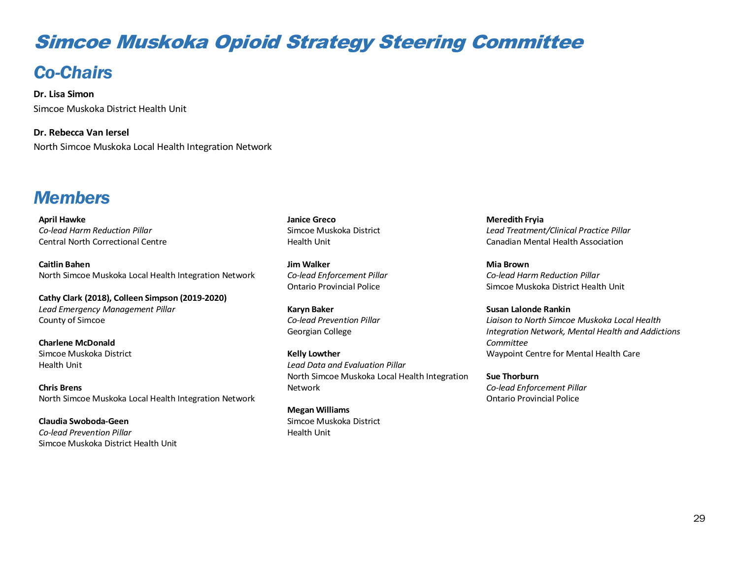# Simcoe Muskoka Opioid Strategy Steering Committee

#### *Co-Chairs*

**Dr. Lisa Simon** Simcoe Muskoka District Health Unit

**Dr. Rebecca Van Iersel** North Simcoe Muskoka Local Health Integration Network

#### *Members*

**April Hawke** *Co-lead Harm Reduction Pillar* Central North Correctional Centre

**Caitlin Bahen** North Simcoe Muskoka Local Health Integration Network

**Cathy Clark (2018), Colleen Simpson (2019-2020)** *Lead Emergency Management Pillar* County of Simcoe

**Charlene McDonald** Simcoe Muskoka District Health Unit

**Chris Brens** North Simcoe Muskoka Local Health Integration Network

**Claudia Swoboda-Geen** *Co-lead Prevention Pillar* Simcoe Muskoka District Health Unit **Janice Greco** Simcoe Muskoka District Health Unit

**Jim Walker** *Co-lead Enforcement Pillar* Ontario Provincial Police

**Karyn Baker** *Co-lead Prevention Pillar* Georgian College

**Kelly Lowther** *Lead Data and Evaluation Pillar* North Simcoe Muskoka Local Health Integration Network

**Megan Williams** Simcoe Muskoka District Health Unit

**Meredith Fryia** *Lead Treatment/Clinical Practice Pillar* Canadian Mental Health Association

**Mia Brown** *Co-lead Harm Reduction Pillar* Simcoe Muskoka District Health Unit

**Susan Lalonde Rankin** *Liaison to North Simcoe Muskoka Local Health Integration Network, Mental Health and Addictions Committee* Waypoint Centre for Mental Health Care

**Sue Thorburn** *Co-lead Enforcement Pillar* Ontario Provincial Police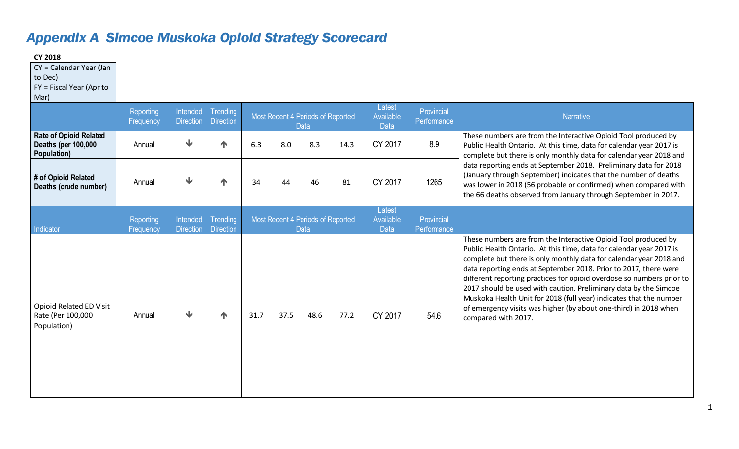## *Appendix A Simcoe Muskoka Opioid Strategy Scorecard*

#### **CY 2018**

CY = Calendar Year (Jan

to Dec)

FY = Fiscal Year (Apr to

Mar)

|                                                                     | Reporting<br>Frequency | Intended<br><b>Direction</b> | Trending<br><b>Direction</b> |      |      | Most Recent 4 Periods of Reported<br><b>Data</b> |      | Latest<br>Available<br><b>Data</b> | Provincial<br>Performance | <b>Narrative</b>                                                                                                                                                                                                                                                                                                                                                                                                                                                                                                                                                                              |
|---------------------------------------------------------------------|------------------------|------------------------------|------------------------------|------|------|--------------------------------------------------|------|------------------------------------|---------------------------|-----------------------------------------------------------------------------------------------------------------------------------------------------------------------------------------------------------------------------------------------------------------------------------------------------------------------------------------------------------------------------------------------------------------------------------------------------------------------------------------------------------------------------------------------------------------------------------------------|
| <b>Rate of Opioid Related</b><br>Deaths (per 100,000<br>Population) | Annual                 | ↓                            | ́↑                           | 6.3  | 8.0  | 8.3                                              | 14.3 | CY 2017                            | 8.9                       | These numbers are from the Interactive Opioid Tool produced by<br>Public Health Ontario. At this time, data for calendar year 2017 is<br>complete but there is only monthly data for calendar year 2018 and                                                                                                                                                                                                                                                                                                                                                                                   |
| # of Opioid Related<br>Deaths (crude number)                        | Annual                 | ↓                            | ́↑                           | 34   | 44   | 46                                               | 81   | CY 2017                            | 1265                      | data reporting ends at September 2018. Preliminary data for 2018<br>(January through September) indicates that the number of deaths<br>was lower in 2018 (56 probable or confirmed) when compared with<br>the 66 deaths observed from January through September in 2017.                                                                                                                                                                                                                                                                                                                      |
| Indicator                                                           | Reporting<br>Frequency | Intended<br><b>Direction</b> | Trending<br><b>Direction</b> |      |      | Most Recent 4 Periods of Reported<br><b>Data</b> |      | Latest<br>Available<br><b>Data</b> | Provincial<br>Performance |                                                                                                                                                                                                                                                                                                                                                                                                                                                                                                                                                                                               |
| Opioid Related ED Visit<br>Rate (Per 100,000<br>Population)         | Annual                 | ↓                            |                              | 31.7 | 37.5 | 48.6                                             | 77.2 | CY 2017                            | 54.6                      | These numbers are from the Interactive Opioid Tool produced by<br>Public Health Ontario. At this time, data for calendar year 2017 is<br>complete but there is only monthly data for calendar year 2018 and<br>data reporting ends at September 2018. Prior to 2017, there were<br>different reporting practices for opioid overdose so numbers prior to<br>2017 should be used with caution. Preliminary data by the Simcoe<br>Muskoka Health Unit for 2018 (full year) indicates that the number<br>of emergency visits was higher (by about one-third) in 2018 when<br>compared with 2017. |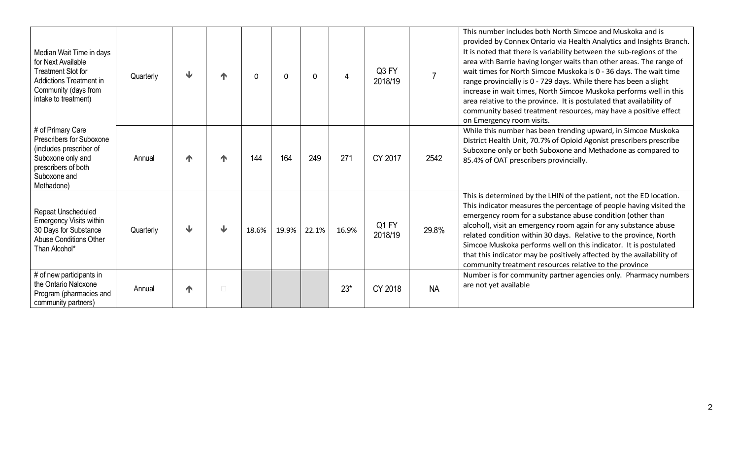| Median Wait Time in days<br>for Next Available<br><b>Treatment Slot for</b><br>Addictions Treatment in<br>Community (days from<br>intake to treatment) | Quarterly | ₩ | ́↑     | O     | $\Omega$ | 0     | $\overline{4}$ | Q3 FY<br>2018/19 | $\overline{7}$ | This number includes both North Simcoe and Muskoka and is<br>provided by Connex Ontario via Health Analytics and Insights Branch.<br>It is noted that there is variability between the sub-regions of the<br>area with Barrie having longer waits than other areas. The range of<br>wait times for North Simcoe Muskoka is 0 - 36 days. The wait time<br>range provincially is 0 - 729 days. While there has been a slight<br>increase in wait times, North Simcoe Muskoka performs well in this<br>area relative to the province. It is postulated that availability of<br>community based treatment resources, may have a positive effect<br>on Emergency room visits. |
|--------------------------------------------------------------------------------------------------------------------------------------------------------|-----------|---|--------|-------|----------|-------|----------------|------------------|----------------|--------------------------------------------------------------------------------------------------------------------------------------------------------------------------------------------------------------------------------------------------------------------------------------------------------------------------------------------------------------------------------------------------------------------------------------------------------------------------------------------------------------------------------------------------------------------------------------------------------------------------------------------------------------------------|
| # of Primary Care<br>Prescribers for Suboxone<br>(includes prescriber of<br>Suboxone only and<br>prescribers of both<br>Suboxone and<br>Methadone)     | Annual    | 个 | Т      | 144   | 164      | 249   | 271            | CY 2017          | 2542           | While this number has been trending upward, in Simcoe Muskoka<br>District Health Unit, 70.7% of Opioid Agonist prescribers prescribe<br>Suboxone only or both Suboxone and Methadone as compared to<br>85.4% of OAT prescribers provincially.                                                                                                                                                                                                                                                                                                                                                                                                                            |
| Repeat Unscheduled<br><b>Emergency Visits within</b><br>30 Days for Substance<br><b>Abuse Conditions Other</b><br>Than Alcohol*                        | Quarterly | ₩ | ↓      | 18.6% | 19.9%    | 22.1% | 16.9%          | Q1 FY<br>2018/19 | 29.8%          | This is determined by the LHIN of the patient, not the ED location.<br>This indicator measures the percentage of people having visited the<br>emergency room for a substance abuse condition (other than<br>alcohol), visit an emergency room again for any substance abuse<br>related condition within 30 days. Relative to the province, North<br>Simcoe Muskoka performs well on this indicator. It is postulated<br>that this indicator may be positively affected by the availability of<br>community treatment resources relative to the province                                                                                                                  |
| # of new participants in<br>the Ontario Naloxone<br>Program (pharmacies and<br>community partners)                                                     | Annual    | 个 | $\Box$ |       |          |       | $23*$          | CY 2018          | <b>NA</b>      | Number is for community partner agencies only. Pharmacy numbers<br>are not yet available                                                                                                                                                                                                                                                                                                                                                                                                                                                                                                                                                                                 |